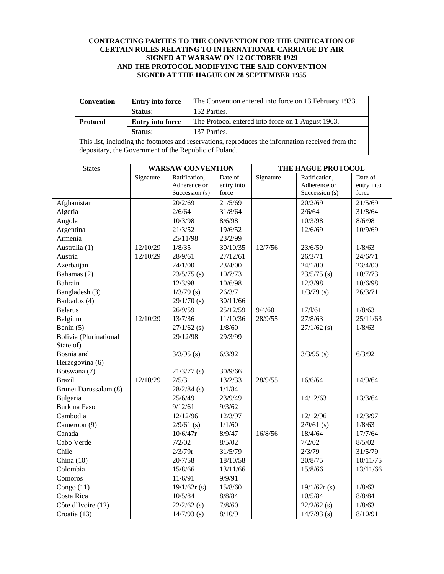# **CONTRACTING PARTIES TO THE CONVENTION FOR THE UNIFICATION OF CERTAIN RULES RELATING TO INTERNATIONAL CARRIAGE BY AIR SIGNED AT WARSAW ON 12 OCTOBER 1929 AND THE PROTOCOL MODIFYING THE SAID CONVENTION SIGNED AT THE HAGUE ON 28 SEPTEMBER 1955**

| <b>Convention</b>                                                                                 | <b>Entry into force</b> | The Convention entered into force on 13 February 1933. |  |  |  |
|---------------------------------------------------------------------------------------------------|-------------------------|--------------------------------------------------------|--|--|--|
|                                                                                                   | Status:                 | 152 Parties.                                           |  |  |  |
| <b>Protocol</b>                                                                                   | <b>Entry into force</b> | The Protocol entered into force on 1 August 1963.      |  |  |  |
|                                                                                                   | Status:                 | 137 Parties.                                           |  |  |  |
| This list, including the footnotes and reservations, reproduces the information received from the |                         |                                                        |  |  |  |
| depositary, the Government of the Republic of Poland.                                             |                         |                                                        |  |  |  |

| <b>States</b>          | <b>WARSAW CONVENTION</b> |                | THE HAGUE PROTOCOL |           |                |            |
|------------------------|--------------------------|----------------|--------------------|-----------|----------------|------------|
|                        | Signature                | Ratification,  | Date of            | Signature | Ratification,  | Date of    |
|                        |                          | Adherence or   | entry into         |           | Adherence or   | entry into |
|                        |                          | Succession (s) | force              |           | Succession (s) | force      |
| Afghanistan            |                          | 20/2/69        | 21/5/69            |           | 20/2/69        | 21/5/69    |
| Algeria                |                          | 2/6/64         | 31/8/64            |           | 2/6/64         | 31/8/64    |
| Angola                 |                          | 10/3/98        | 8/6/98             |           | 10/3/98        | 8/6/98     |
| Argentina              |                          | 21/3/52        | 19/6/52            |           | 12/6/69        | 10/9/69    |
| Armenia                |                          | 25/11/98       | 23/2/99            |           |                |            |
| Australia (1)          | 12/10/29                 | 1/8/35         | 30/10/35           | 12/7/56   | 23/6/59        | 1/8/63     |
| Austria                | 12/10/29                 | 28/9/61        | 27/12/61           |           | 26/3/71        | 24/6/71    |
| Azerbaijan             |                          | 24/1/00        | 23/4/00            |           | 24/1/00        | 23/4/00    |
| Bahamas (2)            |                          | $23/5/75$ (s)  | 10/7/73            |           | $23/5/75$ (s)  | 10/7/73    |
| Bahrain                |                          | 12/3/98        | 10/6/98            |           | 12/3/98        | 10/6/98    |
| Bangladesh (3)         |                          | $1/3/79$ (s)   | 26/3/71            |           | $1/3/79$ (s)   | 26/3/71    |
| Barbados (4)           |                          | $29/1/70$ (s)  | 30/11/66           |           |                |            |
| <b>Belarus</b>         |                          | 26/9/59        | 25/12/59           | 9/4/60    | 17/1/61        | 1/8/63     |
| Belgium                | 12/10/29                 | 13/7/36        | 11/10/36           | 28/9/55   | 27/8/63        | 25/11/63   |
| Benin $(5)$            |                          | $27/1/62$ (s)  | 1/8/60             |           | $27/1/62$ (s)  | 1/8/63     |
| Bolivia (Plurinational |                          | 29/12/98       | 29/3/99            |           |                |            |
| State of)              |                          |                |                    |           |                |            |
| Bosnia and             |                          | $3/3/95$ (s)   | 6/3/92             |           | $3/3/95$ (s)   | 6/3/92     |
| Herzegovina (6)        |                          |                |                    |           |                |            |
| Botswana (7)           |                          | $21/3/77$ (s)  | 30/9/66            |           |                |            |
| <b>Brazil</b>          | 12/10/29                 | 2/5/31         | 13/2/33            | 28/9/55   | 16/6/64        | 14/9/64    |
| Brunei Darussalam (8)  |                          | $28/2/84$ (s)  | 1/1/84             |           |                |            |
| Bulgaria               |                          | 25/6/49        | 23/9/49            |           | 14/12/63       | 13/3/64    |
| <b>Burkina Faso</b>    |                          | 9/12/61        | 9/3/62             |           |                |            |
| Cambodia               |                          | 12/12/96       | 12/3/97            |           | 12/12/96       | 12/3/97    |
| Cameroon (9)           |                          | $2/9/61$ (s)   | 1/1/60             |           | $2/9/61$ (s)   | 1/8/63     |
| Canada                 |                          | 10/6/47r       | 8/9/47             | 16/8/56   | 18/4/64        | 17/7/64    |
| Cabo Verde             |                          | 7/2/02         | 8/5/02             |           | 7/2/02         | 8/5/02     |
| Chile                  |                          | 2/3/79r        | 31/5/79            |           | 2/3/79         | 31/5/79    |
| China $(10)$           |                          | 20/7/58        | 18/10/58           |           | 20/8/75        | 18/11/75   |
| Colombia               |                          | 15/8/66        | 13/11/66           |           | 15/8/66        | 13/11/66   |
| Comoros                |                          | 11/6/91        | 9/9/91             |           |                |            |
| Congo $(11)$           |                          | 19/1/62r(s)    | 15/8/60            |           | 19/1/62r(s)    | 1/8/63     |
| Costa Rica             |                          | 10/5/84        | 8/8/84             |           | 10/5/84        | 8/8/84     |
| Côte d'Ivoire (12)     |                          | $22/2/62$ (s)  | 7/8/60             |           | $22/2/62$ (s)  | 1/8/63     |
| Croatia (13)           |                          | $14/7/93$ (s)  | 8/10/91            |           | $14/7/93$ (s)  | 8/10/91    |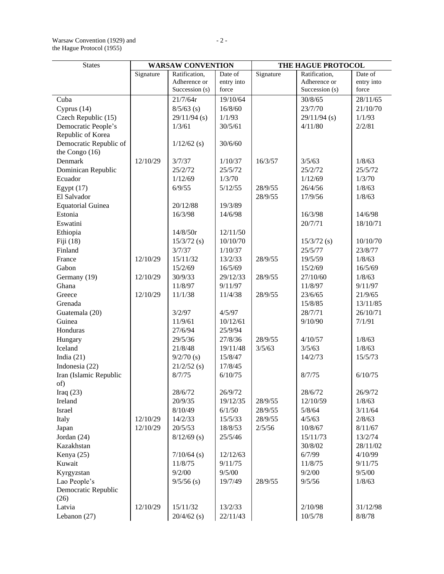| <b>States</b>                  | <b>WARSAW CONVENTION</b> |                         | THE HAGUE PROTOCOL  |                   |                   |                  |
|--------------------------------|--------------------------|-------------------------|---------------------|-------------------|-------------------|------------------|
|                                | Signature                | Ratification,           | Date of             | Signature         | Ratification,     | Date of          |
|                                |                          | Adherence or            | entry into          |                   | Adherence or      | entry into       |
|                                |                          | Succession (s)          | force               |                   | Succession (s)    | force            |
| Cuba                           |                          | 21/7/64r                | 19/10/64            |                   | 30/8/65           | 28/11/65         |
| Cyprus $(14)$                  |                          | $8/5/63$ (s)            | 16/8/60             |                   | 23/7/70           | 21/10/70         |
| Czech Republic (15)            |                          | $29/11/94$ (s)          | 1/1/93              |                   | $29/11/94$ (s)    | 1/1/93           |
| Democratic People's            |                          | 1/3/61                  | 30/5/61             |                   | 4/11/80           | 2/2/81           |
| Republic of Korea              |                          |                         |                     |                   |                   |                  |
| Democratic Republic of         |                          | $1/12/62$ (s)           | 30/6/60             |                   |                   |                  |
| the Congo $(16)$               |                          |                         |                     |                   |                   |                  |
| Denmark                        | 12/10/29                 | 3/7/37                  | 1/10/37             | 16/3/57           | 3/5/63            | 1/8/63           |
| Dominican Republic             |                          | 25/2/72                 | 25/5/72             |                   | 25/2/72           | 25/5/72          |
| Ecuador                        |                          | 1/12/69                 | 1/3/70              |                   | 1/12/69           | 1/3/70           |
| Egypt $(17)$                   |                          | 6/9/55                  | 5/12/55             | 28/9/55           | 26/4/56           | 1/8/63           |
| El Salvador                    |                          |                         |                     | 28/9/55           | 17/9/56           | 1/8/63           |
| <b>Equatorial Guinea</b>       |                          | 20/12/88                | 19/3/89             |                   |                   |                  |
| Estonia                        |                          | 16/3/98                 | 14/6/98             |                   | 16/3/98           | 14/6/98          |
| Eswatini                       |                          |                         |                     |                   | 20/7/71           | 18/10/71         |
| Ethiopia                       |                          | 14/8/50r                | 12/11/50            |                   |                   |                  |
| Fiji $(18)$                    |                          | $15/3/72$ (s)           | 10/10/70            |                   | $15/3/72$ (s)     | 10/10/70         |
| Finland                        |                          | 3/7/37                  | 1/10/37             |                   | 25/5/77           | 23/8/77          |
| France                         | 12/10/29                 | 15/11/32                | 13/2/33             | 28/9/55           | 19/5/59           | 1/8/63           |
| Gabon                          |                          | 15/2/69                 | 16/5/69             |                   | 15/2/69           | 16/5/69          |
| Germany (19)                   | 12/10/29                 | 30/9/33                 | 29/12/33            | 28/9/55           | 27/10/60          | 1/8/63           |
| Ghana                          |                          | 11/8/97                 | 9/11/97             |                   | 11/8/97           | 9/11/97          |
| Greece                         | 12/10/29                 | 11/1/38                 | 11/4/38             | 28/9/55           | 23/6/65           | 21/9/65          |
| Grenada                        |                          |                         |                     |                   | 15/8/85           | 13/11/85         |
| Guatemala (20)                 |                          | 3/2/97                  | 4/5/97              |                   | 28/7/71           | 26/10/71         |
| Guinea                         |                          | 11/9/61                 | 10/12/61            |                   | 9/10/90           | 7/1/91           |
| Honduras                       |                          | 27/6/94                 | 25/9/94             |                   |                   |                  |
| Hungary<br>Iceland             |                          | 29/5/36<br>21/8/48      | 27/8/36<br>19/11/48 | 28/9/55<br>3/5/63 | 4/10/57<br>3/5/63 | 1/8/63<br>1/8/63 |
|                                |                          | $9/2/70$ (s)            | 15/8/47             |                   |                   | 15/5/73          |
| India $(21)$<br>Indonesia (22) |                          |                         | 17/8/45             |                   | 14/2/73           |                  |
|                                |                          | $21/2/52$ (s)<br>8/7/75 | 6/10/75             |                   | 8/7/75            | 6/10/75          |
| Iran (Islamic Republic<br>of)  |                          |                         |                     |                   |                   |                  |
| Iraq $(23)$                    |                          | 28/6/72                 | 26/9/72             |                   | 28/6/72           | 26/9/72          |
| Ireland                        |                          | 20/9/35                 | 19/12/35            | 28/9/55           | 12/10/59          | 1/8/63           |
| Israel                         |                          | 8/10/49                 | 6/1/50              | 28/9/55           | 5/8/64            | 3/11/64          |
| Italy                          | 12/10/29                 | 14/2/33                 | 15/5/33             | 28/9/55           | 4/5/63            | 2/8/63           |
| Japan                          | 12/10/29                 | 20/5/53                 | 18/8/53             | 2/5/56            | 10/8/67           | 8/11/67          |
| Jordan (24)                    |                          | $8/12/69$ (s)           | 25/5/46             |                   | 15/11/73          | 13/2/74          |
| Kazakhstan                     |                          |                         |                     |                   | 30/8/02           | 28/11/02         |
| Kenya (25)                     |                          | $7/10/64$ (s)           | 12/12/63            |                   | 6/7/99            | 4/10/99          |
| Kuwait                         |                          | 11/8/75                 | 9/11/75             |                   | 11/8/75           | 9/11/75          |
| Kyrgyzstan                     |                          | 9/2/00                  | 9/5/00              |                   | 9/2/00            | 9/5/00           |
| Lao People's                   |                          | $9/5/56$ (s)            | 19/7/49             | 28/9/55           | 9/5/56            | 1/8/63           |
| Democratic Republic            |                          |                         |                     |                   |                   |                  |
| (26)                           |                          |                         |                     |                   |                   |                  |
|                                |                          |                         |                     |                   |                   |                  |
| Latvia                         | 12/10/29                 | 15/11/32                | 13/2/33             |                   | 2/10/98           | 31/12/98         |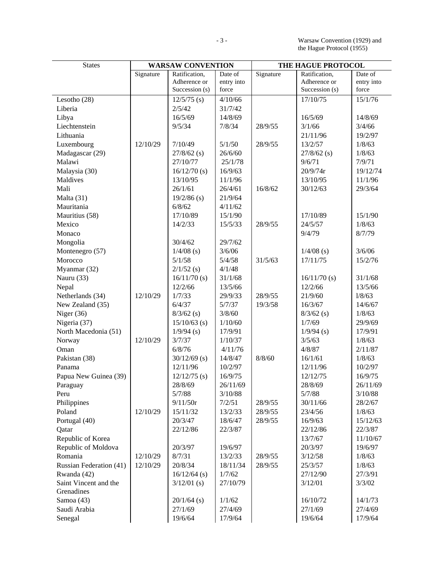| <b>States</b>                  | <b>WARSAW CONVENTION</b> |                | THE HAGUE PROTOCOL |           |                |            |
|--------------------------------|--------------------------|----------------|--------------------|-----------|----------------|------------|
|                                | Signature                | Ratification,  | Date of            | Signature | Ratification,  | Date of    |
|                                |                          | Adherence or   | entry into         |           | Adherence or   | entry into |
|                                |                          | Succession (s) | force              |           | Succession (s) | force      |
| Lesotho (28)                   |                          | $12/5/75$ (s)  | 4/10/66            |           | 17/10/75       | 15/1/76    |
| Liberia                        |                          | 2/5/42         | 31/7/42            |           |                |            |
| Libya                          |                          | 16/5/69        | 14/8/69            |           | 16/5/69        | 14/8/69    |
| Liechtenstein                  |                          | 9/5/34         | 7/8/34             | 28/9/55   | 3/1/66         | 3/4/66     |
| Lithuania                      |                          |                |                    |           | 21/11/96       | 19/2/97    |
| Luxembourg                     | 12/10/29                 | 7/10/49        | 5/1/50             | 28/9/55   | 13/2/57        | 1/8/63     |
| Madagascar (29)                |                          | $27/8/62$ (s)  | 26/6/60            |           | $27/8/62$ (s)  | 1/8/63     |
| Malawi                         |                          | 27/10/77       | 25/1/78            |           | 9/6/71         | 7/9/71     |
| Malaysia (30)                  |                          | $16/12/70$ (s) | 16/9/63            |           | 20/9/74r       | 19/12/74   |
| Maldives                       |                          | 13/10/95       | 11/1/96            |           | 13/10/95       | 11/1/96    |
| Mali                           |                          | 26/1/61        | 26/4/61            | 16/8/62   | 30/12/63       | 29/3/64    |
| Malta (31)                     |                          | $19/2/86$ (s)  | 21/9/64            |           |                |            |
| Mauritania                     |                          | 6/8/62         | 4/11/62            |           |                |            |
| Mauritius (58)                 |                          | 17/10/89       | 15/1/90            |           | 17/10/89       | 15/1/90    |
| Mexico                         |                          | 14/2/33        | 15/5/33            | 28/9/55   | 24/5/57        | 1/8/63     |
| Monaco                         |                          |                |                    |           | 9/4/79         | 8/7/79     |
| Mongolia                       |                          | 30/4/62        | 29/7/62            |           |                |            |
| Montenegro (57)                |                          | $1/4/08$ (s)   | 3/6/06             |           | $1/4/08$ (s)   | 3/6/06     |
| Morocco                        |                          | 5/1/58         | 5/4/58             | 31/5/63   | 17/11/75       | 15/2/76    |
| Myanmar (32)                   |                          | $2/1/52$ (s)   | 4/1/48             |           |                |            |
| Nauru (33)                     |                          | $16/11/70$ (s) | 31/1/68            |           | $16/11/70$ (s) | 31/1/68    |
| Nepal                          |                          | 12/2/66        | 13/5/66            |           | 12/2/66        | 13/5/66    |
| Netherlands (34)               | 12/10/29                 | 1/7/33         | 29/9/33            | 28/9/55   | 21/9/60        | 1/8/63     |
| New Zealand (35)               |                          | 6/4/37         | 5/7/37             | 19/3/58   | 16/3/67        | 14/6/67    |
| Niger $(36)$                   |                          | $8/3/62$ (s)   | 3/8/60             |           | $8/3/62$ (s)   | 1/8/63     |
| Nigeria (37)                   |                          | $15/10/63$ (s) | 1/10/60            |           | 1/7/69         | 29/9/69    |
| North Macedonia (51)           |                          | $1/9/94$ (s)   | 17/9/91            |           | $1/9/94$ (s)   | 17/9/91    |
| Norway                         | 12/10/29                 | 3/7/37         | 1/10/37            |           | 3/5/63         | 1/8/63     |
| Oman                           |                          | 6/8/76         | 4/11/76            |           | 4/8/87         | 2/11/87    |
| Pakistan (38)                  |                          | $30/12/69$ (s) | 14/8/47            | 8/8/60    | 16/1/61        | 1/8/63     |
| Panama                         |                          | 12/11/96       | 10/2/97            |           | 12/11/96       | 10/2/97    |
| Papua New Guinea (39)          |                          | $12/12/75$ (s) | 16/9/75            |           | 12/12/75       | 16/9/75    |
| Paraguay                       |                          | 28/8/69        | 26/11/69           |           | 28/8/69        | 26/11/69   |
| Peru                           |                          | 5/7/88         | 3/10/88            |           | 5/7/88         | 3/10/88    |
| Philippines                    |                          | 9/11/50r       | 7/2/51             | 28/9/55   | 30/11/66       | 28/2/67    |
| Poland                         | 12/10/29                 | 15/11/32       | 13/2/33            | 28/9/55   | 23/4/56        | 1/8/63     |
| Portugal (40)                  |                          | 20/3/47        | 18/6/47            | 28/9/55   | 16/9/63        | 15/12/63   |
| Qatar                          |                          | 22/12/86       | 22/3/87            |           | 22/12/86       | 22/3/87    |
| Republic of Korea              |                          |                |                    |           | 13/7/67        | 11/10/67   |
| Republic of Moldova            |                          | 20/3/97        | 19/6/97            |           | 20/3/97        | 19/6/97    |
| Romania                        | 12/10/29                 | 8/7/31         | 13/2/33            | 28/9/55   | 3/12/58        | 1/8/63     |
| <b>Russian Federation (41)</b> | 12/10/29                 | 20/8/34        | 18/11/34           | 28/9/55   | 25/3/57        | 1/8/63     |
| Rwanda (42)                    |                          | $16/12/64$ (s) | 1/7/62             |           | 27/12/90       | 27/3/91    |
| Saint Vincent and the          |                          | $3/12/01$ (s)  | 27/10/79           |           | 3/12/01        | 3/3/02     |
| Grenadines                     |                          |                |                    |           |                |            |
| Samoa (43)                     |                          | $20/1/64$ (s)  | 1/1/62             |           | 16/10/72       | 14/1/73    |
| Saudi Arabia                   |                          | 27/1/69        | 27/4/69            |           | 27/1/69        | 27/4/69    |
| Senegal                        |                          | 19/6/64        | 17/9/64            |           | 19/6/64        | 17/9/64    |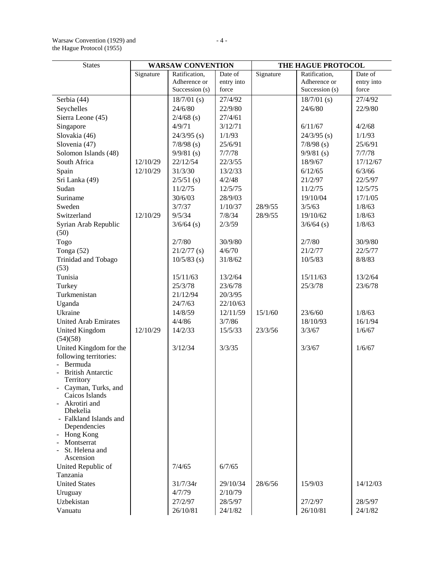# Warsaw Convention (1929) and  $-4$  the Hague Protocol (1955)

| <b>States</b>                         | <b>WARSAW CONVENTION</b> |                | THE HAGUE PROTOCOL |           |                |            |
|---------------------------------------|--------------------------|----------------|--------------------|-----------|----------------|------------|
|                                       | Signature                | Ratification,  | Date of            | Signature | Ratification,  | Date of    |
|                                       |                          | Adherence or   | entry into         |           | Adherence or   | entry into |
|                                       |                          | Succession (s) | force              |           | Succession (s) | force      |
| Serbia (44)                           |                          | $18/7/01$ (s)  | 27/4/92            |           | $18/7/01$ (s)  | 27/4/92    |
| Seychelles                            |                          | 24/6/80        | 22/9/80            |           | 24/6/80        | 22/9/80    |
| Sierra Leone (45)                     |                          | $2/4/68$ (s)   | 27/4/61            |           |                |            |
| Singapore                             |                          | 4/9/71         | 3/12/71            |           | 6/11/67        | 4/2/68     |
| Slovakia (46)                         |                          | $24/3/95$ (s)  | 1/1/93             |           | $24/3/95$ (s)  | 1/1/93     |
| Slovenia (47)                         |                          | $7/8/98$ (s)   | 25/6/91            |           | $7/8/98$ (s)   | 25/6/91    |
| Solomon Islands (48)                  |                          | $9/9/81$ (s)   | 7/7/78             |           | $9/9/81$ (s)   | 7/7/78     |
| South Africa                          | 12/10/29                 | 22/12/54       | 22/3/55            |           | 18/9/67        | 17/12/67   |
| Spain                                 | 12/10/29                 | 31/3/30        | 13/2/33            |           | 6/12/65        | 6/3/66     |
| Sri Lanka (49)                        |                          | $2/5/51$ (s)   | 4/2/48             |           | 21/2/97        | 22/5/97    |
| Sudan                                 |                          | 11/2/75        | 12/5/75            |           | 11/2/75        | 12/5/75    |
| Suriname                              |                          | 30/6/03        | 28/9/03            |           | 19/10/04       | 17/1/05    |
| Sweden                                |                          | 3/7/37         | 1/10/37            | 28/9/55   | 3/5/63         | 1/8/63     |
| Switzerland                           | 12/10/29                 | 9/5/34         | 7/8/34             | 28/9/55   | 19/10/62       | 1/8/63     |
| Syrian Arab Republic<br>(50)          |                          | $3/6/64$ (s)   | 2/3/59             |           | $3/6/64$ (s)   | 1/8/63     |
| Togo                                  |                          | 2/7/80         | 30/9/80            |           | 2/7/80         | 30/9/80    |
| Tonga (52)                            |                          | $21/2/77$ (s)  | 4/6/70             |           | 21/2/77        | 22/5/77    |
| Trinidad and Tobago                   |                          | $10/5/83$ (s)  | 31/8/62            |           | 10/5/83        | 8/8/83     |
| (53)                                  |                          |                |                    |           |                |            |
| Tunisia                               |                          | 15/11/63       | 13/2/64            |           | 15/11/63       | 13/2/64    |
| Turkey                                |                          | 25/3/78        | 23/6/78            |           | 25/3/78        | 23/6/78    |
| Turkmenistan                          |                          | 21/12/94       | 20/3/95            |           |                |            |
| Uganda                                |                          | 24/7/63        | 22/10/63           |           |                |            |
| Ukraine                               |                          | 14/8/59        | 12/11/59           | 15/1/60   | 23/6/60        | 1/8/63     |
| <b>United Arab Emirates</b>           |                          | 4/4/86         | 3/7/86             |           | 18/10/93       | 16/1/94    |
| <b>United Kingdom</b><br>(54)(58)     | 12/10/29                 | 14/2/33        | 15/5/33            | 23/3/56   | 3/3/67         | 1/6/67     |
| United Kingdom for the                |                          | 3/12/34        | 3/3/35             |           | 3/3/67         | 1/6/67     |
| following territories:                |                          |                |                    |           |                |            |
| Bermuda                               |                          |                |                    |           |                |            |
| <b>British Antarctic</b><br>Territory |                          |                |                    |           |                |            |
| Cayman, Turks, and<br>Caicos Islands  |                          |                |                    |           |                |            |
| Akrotiri and                          |                          |                |                    |           |                |            |
| <b>Dhekelia</b>                       |                          |                |                    |           |                |            |
| - Falkland Islands and                |                          |                |                    |           |                |            |
| Dependencies                          |                          |                |                    |           |                |            |
| Hong Kong                             |                          |                |                    |           |                |            |
| Montserrat<br>St. Helena and          |                          |                |                    |           |                |            |
| Ascension                             |                          |                |                    |           |                |            |
| United Republic of                    |                          | 7/4/65         | 6/7/65             |           |                |            |
| Tanzania                              |                          |                |                    |           |                |            |
| <b>United States</b>                  |                          | 31/7/34r       | 29/10/34           | 28/6/56   | 15/9/03        | 14/12/03   |
| Uruguay                               |                          | 4/7/79         | 2/10/79            |           |                |            |
| Uzbekistan                            |                          | 27/2/97        | 28/5/97            |           | 27/2/97        | 28/5/97    |
| Vanuatu                               |                          | 26/10/81       | 24/1/82            |           | 26/10/81       | 24/1/82    |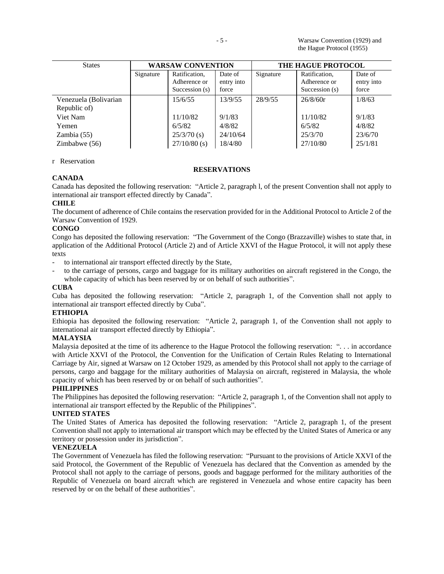| <b>States</b>                         |           | <b>WARSAW CONVENTION</b>                        | <b>THE HAGUE PROTOCOL</b>      |           |                                                   |                                |
|---------------------------------------|-----------|-------------------------------------------------|--------------------------------|-----------|---------------------------------------------------|--------------------------------|
|                                       | Signature | Ratification,<br>Adherence or<br>Succession (s) | Date of<br>entry into<br>force | Signature | Ratification,<br>Adherence or<br>Succession $(s)$ | Date of<br>entry into<br>force |
| Venezuela (Bolivarian<br>Republic of) |           | 15/6/55                                         | 13/9/55                        | 28/9/55   | 26/8/60r                                          | 1/8/63                         |
| Viet Nam                              |           | 11/10/82                                        | 9/1/83                         |           | 11/10/82                                          | 9/1/83                         |
| Yemen                                 |           | 6/5/82                                          | 4/8/82                         |           | 6/5/82                                            | 4/8/82                         |
| Zambia(55)                            |           | $25/3/70$ (s)                                   | 24/10/64                       |           | 25/3/70                                           | 23/6/70                        |
| Zimbabwe $(56)$                       |           | $27/10/80$ (s)                                  | 18/4/80                        |           | 27/10/80                                          | 25/1/81                        |

### r Reservation

# **RESERVATIONS**

# **CANADA**

Canada has deposited the following reservation: "Article 2, paragraph l, of the present Convention shall not apply to international air transport effected directly by Canada".

# **CHILE**

The document of adherence of Chile contains the reservation provided for in the Additional Protocol to Article 2 of the Warsaw Convention of 1929.

# **CONGO**

Congo has deposited the following reservation: "The Government of the Congo (Brazzaville) wishes to state that, in application of the Additional Protocol (Article 2) and of Article XXVI of the Hague Protocol, it will not apply these texts

- to international air transport effected directly by the State,
- to the carriage of persons, cargo and baggage for its military authorities on aircraft registered in the Congo, the whole capacity of which has been reserved by or on behalf of such authorities".

## **CUBA**

Cuba has deposited the following reservation: "Article 2, paragraph 1, of the Convention shall not apply to international air transport effected directly by Cuba".

# **ETHIOPIA**

Ethiopia has deposited the following reservation: "Article 2, paragraph 1, of the Convention shall not apply to international air transport effected directly by Ethiopia".

### **MALAYSIA**

Malaysia deposited at the time of its adherence to the Hague Protocol the following reservation: ". . . in accordance with Article XXVI of the Protocol, the Convention for the Unification of Certain Rules Relating to International Carriage by Air, signed at Warsaw on 12 October 1929, as amended by this Protocol shall not apply to the carriage of persons, cargo and baggage for the military authorities of Malaysia on aircraft, registered in Malaysia, the whole capacity of which has been reserved by or on behalf of such authorities".

# **PHILIPPINES**

The Philippines has deposited the following reservation: "Article 2, paragraph 1, of the Convention shall not apply to international air transport effected by the Republic of the Philippines".

## **UNITED STATES**

The United States of America has deposited the following reservation: "Article 2, paragraph 1, of the present Convention shall not apply to international air transport which may be effected by the United States of America or any territory or possession under its jurisdiction".

# **VENEZUELA**

The Government of Venezuela has filed the following reservation: "Pursuant to the provisions of Article XXVI of the said Protocol, the Government of the Republic of Venezuela has declared that the Convention as amended by the Protocol shall not apply to the carriage of persons, goods and baggage performed for the military authorities of the Republic of Venezuela on board aircraft which are registered in Venezuela and whose entire capacity has been reserved by or on the behalf of these authorities".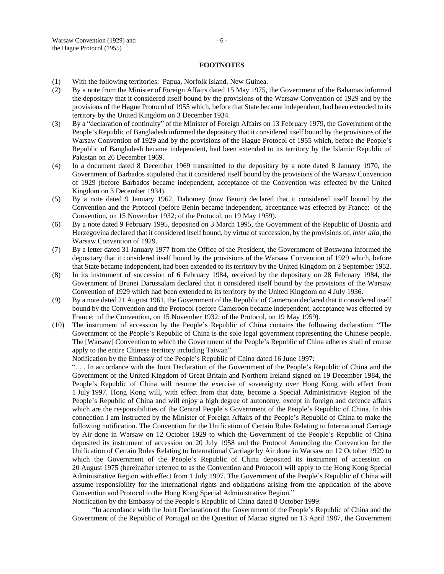#### **FOOTNOTES**

- (1) With the following territories: Papua, Norfolk Island, New Guinea.
- (2) By a note from the Minister of Foreign Affairs dated 15 May 1975, the Government of the Bahamas informed the depositary that it considered itself bound by the provisions of the Warsaw Convention of 1929 and by the provisions of the Hague Protocol of 1955 which, before that State became independent, had been extended to its territory by the United Kingdom on 3 December 1934.
- (3) By a "declaration of continuity" of the Minister of Foreign Affairs on 13 February 1979, the Government of the People's Republic of Bangladesh informed the depositary that it considered itself bound by the provisions of the Warsaw Convention of 1929 and by the provisions of the Hague Protocol of 1955 which, before the People's Republic of Bangladesh became independent, had been extended to its territory by the Islamic Republic of Pakistan on 26 December 1969.
- (4) In a document dated 8 December 1969 transmitted to the depositary by a note dated 8 January 1970, the Government of Barbados stipulated that it considered itself bound by the provisions of the Warsaw Convention of 1929 (before Barbados became independent, acceptance of the Convention was effected by the United Kingdom on 3 December 1934).
- (5) By a note dated 9 January 1962, Dahomey (now Benin) declared that it considered itself bound by the Convention and the Protocol (before Benin became independent, acceptance was effected by France: of the Convention, on 15 November 1932; of the Protocol, on 19 May 1959).
- (6) By a note dated 9 February 1995, deposited on 3 March 1995, the Government of the Republic of Bosnia and Herzegovina declared that it considered itself bound, by virtue of succession, by the provisions of, *inter alia*, the Warsaw Convention of 1929.
- (7) By a letter dated 31 January 1977 from the Office of the President, the Government of Botswana informed the depositary that it considered itself bound by the provisions of the Warsaw Convention of 1929 which, before that State became independent, had been extended to its territory by the United Kingdom on 2 September 1952.
- (8) In its instrument of succession of 6 February 1984, received by the depositary on 28 February 1984, the Government of Brunei Darussalam declared that it considered itself bound by the provisions of the Warsaw Convention of 1929 which had been extended to its territory by the United Kingdom on 4 July 1936.
- (9) By a note dated 21 August 1961, the Government of the Republic of Cameroon declared that it considered itself bound by the Convention and the Protocol (before Cameroon became independent, acceptance was effected by France: of the Convention, on 15 November 1932; of the Protocol, on 19 May 1959).
- (10) The instrument of accession by the People's Republic of China contains the following declaration: "The Government of the People's Republic of China is the sole legal government representing the Chinese people. The [Warsaw] Convention to which the Government of the People's Republic of China adheres shall of course apply to the entire Chinese territory including Taiwan".

Notification by the Embassy of the People's Republic of China dated 16 June 1997:

". . . In accordance with the Joint Declaration of the Government of the People's Republic of China and the Government of the United Kingdom of Great Britain and Northern Ireland signed on 19 December 1984, the People's Republic of China will resume the exercise of sovereignty over Hong Kong with effect from 1 July 1997. Hong Kong will, with effect from that date, become a Special Administrative Region of the People's Republic of China and will enjoy a high degree of autonomy, except in foreign and defence affairs which are the responsibilities of the Central People's Government of the People's Republic of China. In this connection I am instructed by the Minister of Foreign Affairs of the People's Republic of China to make the following notification. The Convention for the Unification of Certain Rules Relating to International Carriage by Air done in Warsaw on 12 October 1929 to which the Government of the People's Republic of China deposited its instrument of accession on 20 July 1958 and the Protocol Amending the Convention for the Unification of Certain Rules Relating to International Carriage by Air done in Warsaw on 12 October 1929 to which the Government of the People's Republic of China deposited its instrument of accession on 20 August 1975 (hereinafter referred to as the Convention and Protocol) will apply to the Hong Kong Special Administrative Region with effect from 1 July 1997. The Government of the People's Republic of China will assume responsibility for the international rights and obligations arising from the application of the above Convention and Protocol to the Hong Kong Special Administrative Region."

Notification by the Embassy of the People's Republic of China dated 8 October 1999:

"In accordance with the Joint Declaration of the Government of the People's Republic of China and the Government of the Republic of Portugal on the Question of Macao signed on 13 April 1987, the Government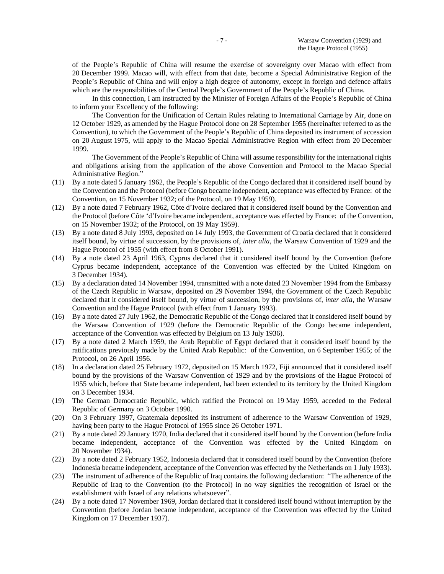of the People's Republic of China will resume the exercise of sovereignty over Macao with effect from 20 December 1999. Macao will, with effect from that date, become a Special Administrative Region of the People's Republic of China and will enjoy a high degree of autonomy, except in foreign and defence affairs which are the responsibilities of the Central People's Government of the People's Republic of China.

In this connection, I am instructed by the Minister of Foreign Affairs of the People's Republic of China to inform your Excellency of the following:

The Convention for the Unification of Certain Rules relating to International Carriage by Air, done on 12 October 1929, as amended by the Hague Protocol done on 28 September 1955 (hereinafter referred to as the Convention), to which the Government of the People's Republic of China deposited its instrument of accession on 20 August 1975, will apply to the Macao Special Administrative Region with effect from 20 December 1999.

The Government of the People's Republic of China will assume responsibility for the international rights and obligations arising from the application of the above Convention and Protocol to the Macao Special Administrative Region."

- (11) By a note dated 5 January 1962, the People's Republic of the Congo declared that it considered itself bound by the Convention and the Protocol (before Congo became independent, acceptance was effected by France: of the Convention, on 15 November 1932; of the Protocol, on 19 May 1959).
- (12) By a note dated 7 February 1962, Côte d'Ivoire declared that it considered itself bound by the Convention and the Protocol (before Côte 'd'Ivoire became independent, acceptance was effected by France: of the Convention, on 15 November 1932; of the Protocol, on 19 May 1959).
- (13) By a note dated 8 July 1993, deposited on 14 July 1993, the Government of Croatia declared that it considered itself bound, by virtue of succession, by the provisions of, *inter alia*, the Warsaw Convention of 1929 and the Hague Protocol of 1955 (with effect from 8 October 1991).
- (14) By a note dated 23 April 1963, Cyprus declared that it considered itself bound by the Convention (before Cyprus became independent, acceptance of the Convention was effected by the United Kingdom on 3 December 1934).
- (15) By a declaration dated 14 November 1994, transmitted with a note dated 23 November 1994 from the Embassy of the Czech Republic in Warsaw, deposited on 29 November 1994, the Government of the Czech Republic declared that it considered itself bound, by virtue of succession, by the provisions of, *inter alia*, the Warsaw Convention and the Hague Protocol (with effect from 1 January 1993).
- (16) By a note dated 27 July 1962, the Democratic Republic of the Congo declared that it considered itself bound by the Warsaw Convention of 1929 (before the Democratic Republic of the Congo became independent, acceptance of the Convention was effected by Belgium on 13 July 1936).
- (17) By a note dated 2 March 1959, the Arab Republic of Egypt declared that it considered itself bound by the ratifications previously made by the United Arab Republic: of the Convention, on 6 September 1955; of the Protocol, on 26 April 1956.
- (18) In a declaration dated 25 February 1972, deposited on 15 March 1972, Fiji announced that it considered itself bound by the provisions of the Warsaw Convention of 1929 and by the provisions of the Hague Protocol of 1955 which, before that State became independent, had been extended to its territory by the United Kingdom on 3 December 1934.
- (19) The German Democratic Republic, which ratified the Protocol on 19 May 1959, acceded to the Federal Republic of Germany on 3 October 1990.
- (20) On 3 February 1997, Guatemala deposited its instrument of adherence to the Warsaw Convention of 1929, having been party to the Hague Protocol of 1955 since 26 October 1971.
- (21) By a note dated 29 January 1970, India declared that it considered itself bound by the Convention (before India became independent, acceptance of the Convention was effected by the United Kingdom on 20 November 1934).
- (22) By a note dated 2 February 1952, Indonesia declared that it considered itself bound by the Convention (before Indonesia became independent, acceptance of the Convention was effected by the Netherlands on 1 July 1933).
- (23) The instrument of adherence of the Republic of Iraq contains the following declaration: "The adherence of the Republic of Iraq to the Convention (to the Protocol) in no way signifies the recognition of Israel or the establishment with Israel of any relations whatsoever".
- (24) By a note dated 17 November 1969, Jordan declared that it considered itself bound without interruption by the Convention (before Jordan became independent, acceptance of the Convention was effected by the United Kingdom on 17 December 1937).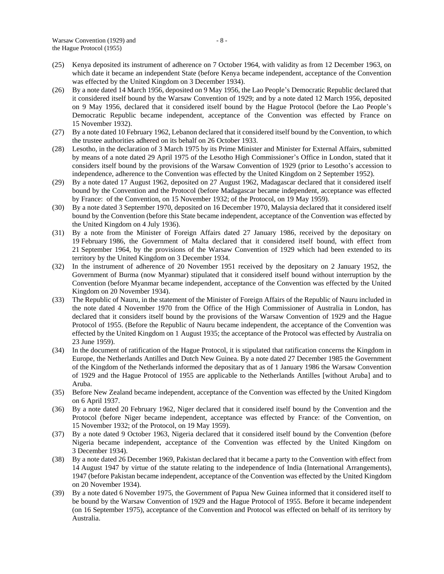- (25) Kenya deposited its instrument of adherence on 7 October 1964, with validity as from 12 December 1963, on which date it became an independent State (before Kenya became independent, acceptance of the Convention was effected by the United Kingdom on 3 December 1934).
- (26) By a note dated 14 March 1956, deposited on 9 May 1956, the Lao People's Democratic Republic declared that it considered itself bound by the Warsaw Convention of 1929; and by a note dated 12 March 1956, deposited on 9 May 1956, declared that it considered itself bound by the Hague Protocol (before the Lao People's Democratic Republic became independent, acceptance of the Convention was effected by France on 15 November 1932).
- (27) By a note dated 10 February 1962, Lebanon declared that it considered itself bound by the Convention, to which the trustee authorities adhered on its behalf on 26 October 1933.
- (28) Lesotho, in the declaration of 3 March 1975 by its Prime Minister and Minister for External Affairs, submitted by means of a note dated 29 April 1975 of the Lesotho High Commissioner's Office in London, stated that it considers itself bound by the provisions of the Warsaw Convention of 1929 (prior to Lesotho's accession to independence, adherence to the Convention was effected by the United Kingdom on 2 September 1952).
- (29) By a note dated 17 August 1962, deposited on 27 August 1962, Madagascar declared that it considered itself bound by the Convention and the Protocol (before Madagascar became independent, acceptance was effected by France: of the Convention, on 15 November 1932; of the Protocol, on 19 May 1959).
- (30) By a note dated 3 September 1970, deposited on 16 December 1970, Malaysia declared that it considered itself bound by the Convention (before this State became independent, acceptance of the Convention was effected by the United Kingdom on 4 July 1936).
- (31) By a note from the Minister of Foreign Affairs dated 27 January 1986, received by the depositary on 19 February 1986, the Government of Malta declared that it considered itself bound, with effect from 21 September 1964, by the provisions of the Warsaw Convention of 1929 which had been extended to its territory by the United Kingdom on 3 December 1934.
- (32) In the instrument of adherence of 20 November 1951 received by the depositary on 2 January 1952, the Government of Burma (now Myanmar) stipulated that it considered itself bound without interruption by the Convention (before Myanmar became independent, acceptance of the Convention was effected by the United Kingdom on 20 November 1934).
- (33) The Republic of Nauru, in the statement of the Minister of Foreign Affairs of the Republic of Nauru included in the note dated 4 November 1970 from the Office of the High Commissioner of Australia in London, has declared that it considers itself bound by the provisions of the Warsaw Convention of 1929 and the Hague Protocol of 1955. (Before the Republic of Nauru became independent, the acceptance of the Convention was effected by the United Kingdom on 1 August 1935; the acceptance of the Protocol was effected by Australia on 23 June 1959).
- (34) In the document of ratification of the Hague Protocol, it is stipulated that ratification concerns the Kingdom in Europe, the Netherlands Antilles and Dutch New Guinea. By a note dated 27 December 1985 the Government of the Kingdom of the Netherlands informed the depositary that as of 1 January 1986 the Warsaw Convention of 1929 and the Hague Protocol of 1955 are applicable to the Netherlands Antilles [without Aruba] and to Aruba.
- (35) Before New Zealand became independent, acceptance of the Convention was effected by the United Kingdom on 6 April 1937.
- (36) By a note dated 20 February 1962, Niger declared that it considered itself bound by the Convention and the Protocol (before Niger became independent, acceptance was effected by France: of the Convention, on 15 November 1932; of the Protocol, on 19 May 1959).
- (37) By a note dated 9 October 1963, Nigeria declared that it considered itself bound by the Convention (before Nigeria became independent, acceptance of the Convention was effected by the United Kingdom on 3 December 1934).
- (38) By a note dated 26 December 1969, Pakistan declared that it became a party to the Convention with effect from 14 August 1947 by virtue of the statute relating to the independence of India (International Arrangements), 1947 (before Pakistan became independent, acceptance of the Convention was effected by the United Kingdom on 20 November 1934).
- (39) By a note dated 6 November 1975, the Government of Papua New Guinea informed that it considered itself to be bound by the Warsaw Convention of 1929 and the Hague Protocol of 1955. Before it became independent (on 16 September 1975), acceptance of the Convention and Protocol was effected on behalf of its territory by Australia.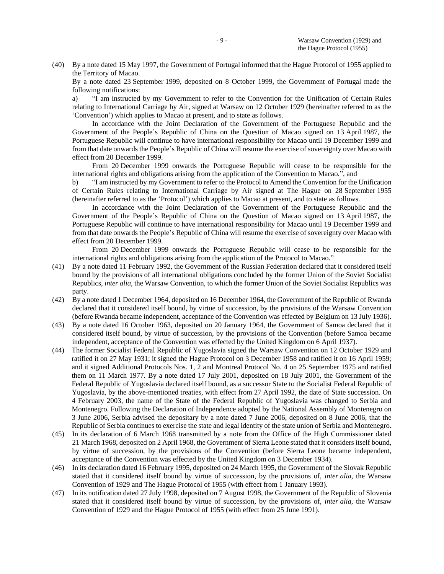(40) By a note dated 15 May 1997, the Government of Portugal informed that the Hague Protocol of 1955 applied to the Territory of Macao.

By a note dated 23 September 1999, deposited on 8 October 1999, the Government of Portugal made the following notifications:

a) "I am instructed by my Government to refer to the Convention for the Unification of Certain Rules relating to International Carriage by Air, signed at Warsaw on 12 October 1929 (hereinafter referred to as the 'Convention') which applies to Macao at present, and to state as follows.

In accordance with the Joint Declaration of the Government of the Portuguese Republic and the Government of the People's Republic of China on the Question of Macao signed on 13 April 1987, the Portuguese Republic will continue to have international responsibility for Macao until 19 December 1999 and from that date onwards the People's Republic of China will resume the exercise of sovereignty over Macao with effect from 20 December 1999.

From 20 December 1999 onwards the Portuguese Republic will cease to be responsible for the international rights and obligations arising from the application of the Convention to Macao.", and

b) "I am instructed by my Government to refer to the Protocol to Amend the Convention for the Unification of Certain Rules relating to International Carriage by Air signed at The Hague on 28 September 1955 (hereinafter referred to as the 'Protocol') which applies to Macao at present, and to state as follows.

In accordance with the Joint Declaration of the Government of the Portuguese Republic and the Government of the People's Republic of China on the Question of Macao signed on 13 April 1987, the Portuguese Republic will continue to have international responsibility for Macao until 19 December 1999 and from that date onwards the People's Republic of China will resume the exercise of sovereignty over Macao with effect from 20 December 1999.

From 20 December 1999 onwards the Portuguese Republic will cease to be responsible for the international rights and obligations arising from the application of the Protocol to Macao."

- (41) By a note dated 11 February 1992, the Government of the Russian Federation declared that it considered itself bound by the provisions of all international obligations concluded by the former Union of the Soviet Socialist Republics, *inter alia*, the Warsaw Convention, to which the former Union of the Soviet Socialist Republics was party.
- (42) By a note dated 1 December 1964, deposited on 16 December 1964, the Government of the Republic of Rwanda declared that it considered itself bound, by virtue of succession, by the provisions of the Warsaw Convention (before Rwanda became independent, acceptance of the Convention was effected by Belgium on 13 July 1936).
- (43) By a note dated 16 October 1963, deposited on 20 January 1964, the Government of Samoa declared that it considered itself bound, by virtue of succession, by the provisions of the Convention (before Samoa became independent, acceptance of the Convention was effected by the United Kingdom on 6 April 1937).
- (44) The former Socialist Federal Republic of Yugoslavia signed the Warsaw Convention on 12 October 1929 and ratified it on 27 May 1931; it signed the Hague Protocol on 3 December 1958 and ratified it on 16 April 1959; and it signed Additional Protocols Nos. 1, 2 and Montreal Protocol No. 4 on 25 September 1975 and ratified them on 11 March 1977. By a note dated 17 July 2001, deposited on 18 July 2001, the Government of the Federal Republic of Yugoslavia declared itself bound, as a successor State to the Socialist Federal Republic of Yugoslavia, by the above-mentioned treaties, with effect from 27 April 1992, the date of State succession. On 4 February 2003, the name of the State of the Federal Republic of Yugoslavia was changed to Serbia and Montenegro. Following the Declaration of Independence adopted by the National Assembly of Montenegro on 3 June 2006, Serbia advised the depositary by a note dated 7 June 2006, deposited on 8 June 2006, that the Republic of Serbia continues to exercise the state and legal identity of the state union of Serbia and Montenegro.
- (45) In its declaration of 6 March 1968 transmitted by a note from the Office of the High Commissioner dated 21 March 1968, deposited on 2 April 1968, the Government of Sierra Leone stated that it considers itself bound, by virtue of succession, by the provisions of the Convention (before Sierra Leone became independent, acceptance of the Convention was effected by the United Kingdom on 3 December 1934).
- (46) In its declaration dated 16 February 1995, deposited on 24 March 1995, the Government of the Slovak Republic stated that it considered itself bound by virtue of succession, by the provisions of, *inter alia*, the Warsaw Convention of 1929 and The Hague Protocol of 1955 (with effect from 1 January 1993).
- (47) In its notification dated 27 July 1998, deposited on 7 August 1998, the Government of the Republic of Slovenia stated that it considered itself bound by virtue of succession, by the provisions of, *inter alia*, the Warsaw Convention of 1929 and the Hague Protocol of 1955 (with effect from 25 June 1991).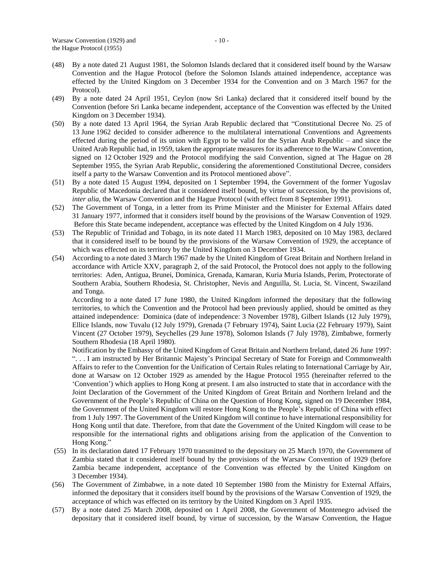- (48) By a note dated 21 August 1981, the Solomon Islands declared that it considered itself bound by the Warsaw Convention and the Hague Protocol (before the Solomon Islands attained independence, acceptance was effected by the United Kingdom on 3 December 1934 for the Convention and on 3 March 1967 for the Protocol).
- (49) By a note dated 24 April 1951, Ceylon (now Sri Lanka) declared that it considered itself bound by the Convention (before Sri Lanka became independent, acceptance of the Convention was effected by the United Kingdom on 3 December 1934).
- (50) By a note dated 13 April 1964, the Syrian Arab Republic declared that "Constitutional Decree No. 25 of 13 June 1962 decided to consider adherence to the multilateral international Conventions and Agreements effected during the period of its union with Egypt to be valid for the Syrian Arab Republic – and since the United Arab Republic had, in 1959, taken the appropriate measures for its adherence to the Warsaw Convention, signed on 12 October 1929 and the Protocol modifying the said Convention, signed at The Hague on 28 September 1955, the Syrian Arab Republic, considering the aforementioned Constitutional Decree, considers itself a party to the Warsaw Convention and its Protocol mentioned above".
- (51) By a note dated 15 August 1994, deposited on 1 September 1994, the Government of the former Yugoslav Republic of Macedonia declared that it considered itself bound, by virtue of succession, by the provisions of, *inter alia*, the Warsaw Convention and the Hague Protocol (with effect from 8 September 1991).
- (52) The Government of Tonga, in a letter from its Prime Minister and the Minister for External Affairs dated 31 January 1977, informed that it considers itself bound by the provisions of the Warsaw Convention of 1929. Before this State became independent, acceptance was effected by the United Kingdom on 4 July 1936.
- (53) The Republic of Trinidad and Tobago, in its note dated 11 March 1983, deposited on 10 May 1983, declared that it considered itself to be bound by the provisions of the Warsaw Convention of 1929, the acceptance of which was effected on its territory by the United Kingdom on 3 December 1934.
- (54) According to a note dated 3 March 1967 made by the United Kingdom of Great Britain and Northern Ireland in accordance with Article XXV, paragraph 2, of the said Protocol, the Protocol does not apply to the following territories: Aden, Antigua, Brunei, Dominica, Grenada, Kamaran, Kuria Muria Islands, Perim, Protectorate of Southern Arabia, Southern Rhodesia, St. Christopher, Nevis and Anguilla, St. Lucia, St. Vincent, Swaziland and Tonga.

According to a note dated 17 June 1980, the United Kingdom informed the depositary that the following territories, to which the Convention and the Protocol had been previously applied, should be omitted as they attained independence: Dominica (date of independence: 3 November 1978), Gilbert Islands (12 July 1979), Ellice Islands, now Tuvalu (12 July 1979), Grenada (7 February 1974), Saint Lucia (22 February 1979), Saint Vincent (27 October 1979), Seychelles (29 June 1978), Solomon Islands (7 July 1978), Zimbabwe, formerly Southern Rhodesia (18 April 1980).

Notification by the Embassy of the United Kingdom of Great Britain and Northern Ireland, dated 26 June 1997: ". . . I am instructed by Her Britannic Majesty's Principal Secretary of State for Foreign and Commonwealth Affairs to refer to the Convention for the Unification of Certain Rules relating to International Carriage by Air, done at Warsaw on 12 October 1929 as amended by the Hague Protocol 1955 (hereinafter referred to the 'Convention') which applies to Hong Kong at present. I am also instructed to state that in accordance with the Joint Declaration of the Government of the United Kingdom of Great Britain and Northern Ireland and the Government of the People's Republic of China on the Question of Hong Kong, signed on 19 December 1984, the Government of the United Kingdom will restore Hong Kong to the People's Republic of China with effect from 1 July 1997. The Government of the United Kingdom will continue to have international responsibility for Hong Kong until that date. Therefore, from that date the Government of the United Kingdom will cease to be responsible for the international rights and obligations arising from the application of the Convention to Hong Kong."

- (55) In its declaration dated 17 February 1970 transmitted to the depositary on 25 March 1970, the Government of Zambia stated that it considered itself bound by the provisions of the Warsaw Convention of 1929 (before Zambia became independent, acceptance of the Convention was effected by the United Kingdom on 3 December 1934).
- (56) The Government of Zimbabwe, in a note dated 10 September 1980 from the Ministry for External Affairs, informed the depositary that it considers itself bound by the provisions of the Warsaw Convention of 1929, the acceptance of which was effected on its territory by the United Kingdom on 3 April 1935.
- (57) By a note dated 25 March 2008, deposited on 1 April 2008, the Government of Montenegro advised the depositary that it considered itself bound, by virtue of succession, by the Warsaw Convention, the Hague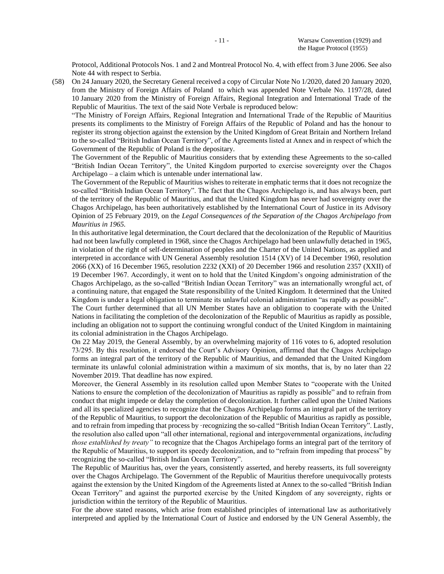Protocol, Additional Protocols Nos. 1 and 2 and Montreal Protocol No. 4, with effect from 3 June 2006. See also Note 44 with respect to Serbia.

(58) On 24 January 2020, the Secretary General received a copy of Circular Note No 1/2020, dated 20 January 2020, from the Ministry of Foreign Affairs of Poland to which was appended Note Verbale No. 1197/28, dated 10 January 2020 from the Ministry of Foreign Affairs, Regional Integration and International Trade of the Republic of Mauritius. The text of the said Note Verbale is reproduced below:

"The Ministry of Foreign Affairs, Regional Integration and International Trade of the Republic of Mauritius presents its compliments to the Ministry of Foreign Affairs of the Republic of Poland and has the honour to register its strong objection against the extension by the United Kingdom of Great Britain and Northern Ireland to the so-called "British Indian Ocean Territory", of the Agreements listed at Annex and in respect of which the Government of the Republic of Poland is the depositary.

The Government of the Republic of Mauritius considers that by extending these Agreements to the so-called "British Indian Ocean Territory", the United Kingdom purported to exercise sovereignty over the Chagos Archipelago – a claim which is untenable under international law.

The Government of the Republic of Mauritius wishes to reiterate in emphatic terms that it does not recognize the so-called "British Indian Ocean Territory". The fact that the Chagos Archipelago is, and has always been, part of the territory of the Republic of Mauritius, and that the United Kingdom has never had sovereignty over the Chagos Archipelago, has been authoritatively established by the International Court of Justice in its Advisory Opinion of 25 February 2019, on the *Legal Consequences of the Separation of the Chagos Archipelago from Mauritius in 1965.*

In this authoritative legal determination, the Court declared that the decolonization of the Republic of Mauritius had not been lawfully completed in 1968, since the Chagos Archipelago had been unlawfully detached in 1965, in violation of the right of self-determination of peoples and the Charter of the United Nations, as applied and interpreted in accordance with UN General Assembly resolution 1514 (XV) of 14 December 1960, resolution 2066 (XX) of 16 December 1965, resolution 2232 (XXI) of 20 December 1966 and resolution 2357 (XXII) of 19 December 1967. Accordingly, it went on to hold that the United Kingdom's ongoing administration of the Chagos Archipelago, as the so-called "British Indian Ocean Territory" was an internationally wrongful act, of a continuing nature, that engaged the State responsibility of the United Kingdom. It determined that the United Kingdom is under a legal obligation to terminate its unlawful colonial administration "as rapidly as possible".

The Court further determined that all UN Member States have an obligation to cooperate with the United Nations in facilitating the completion of the decolonization of the Republic of Mauritius as rapidly as possible, including an obligation not to support the continuing wrongful conduct of the United Kingdom in maintaining its colonial administration in the Chagos Archipelago.

On 22 May 2019, the General Assembly, by an overwhelming majority of 116 votes to 6, adopted resolution 73/295. By this resolution, it endorsed the Court's Advisory Opinion, affirmed that the Chagos Archipelago forms an integral part of the territory of the Republic of Mauritius, and demanded that the United Kingdom terminate its unlawful colonial administration within a maximum of six months, that is, by no later than 22 November 2019. That deadline has now expired.

Moreover, the General Assembly in its resolution called upon Member States to "cooperate with the United Nations to ensure the completion of the decolonization of Mauritius as rapidly as possible" and to refrain from conduct that might impede or delay the completion of decolonization. It further called upon the United Nations and all its specialized agencies to recognize that the Chagos Archipelago forms an integral part of the territory of the Republic of Mauritius, to support the decolonization of the Republic of Mauritius as rapidly as possible, and to refrain from impeding that process by ·recognizing the so-called "British Indian Ocean Territory". Lastly, the resolution also called upon "all other international, regional and intergovernmental organizations, *including those established by treaty"* to recognize that the Chagos Archipelago forms an integral part of the territory of the Republic of Mauritius, to support its speedy decolonization, and to "refrain from impeding that process" by recognizing the so-called "British Indian Ocean Territory".

The Republic of Mauritius has, over the years, consistently asserted, and hereby reasserts, its full sovereignty over the Chagos Archipelago. The Government of the Republic of Mauritius therefore unequivocally protests against the extension by the United Kingdom of the Agreements listed at Annex to the so-called "British Indian Ocean Territory" and against the purported exercise by the United Kingdom of any sovereignty, rights or jurisdiction within the territory of the Republic of Mauritius.

For the above stated reasons, which arise from established principles of international law as authoritatively interpreted and applied by the International Court of Justice and endorsed by the UN General Assembly, the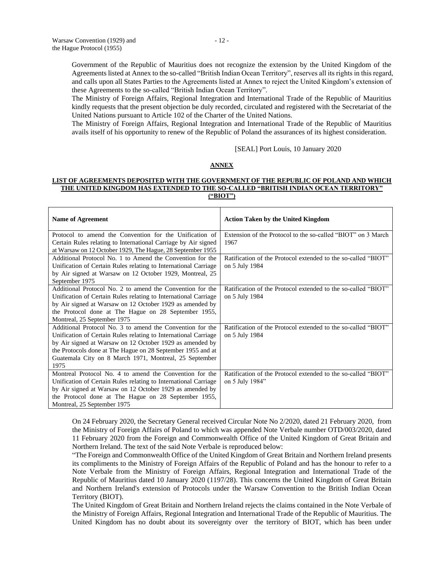$\mathsf{r}$ 

Government of the Republic of Mauritius does not recognize the extension by the United Kingdom of the Agreements listed at Annex to the so-called "British Indian Ocean Territory", reserves all its rights in this regard, and calls upon all States Parties to the Agreements listed at Annex to reject the United Kingdom's extension of these Agreements to the so-called "British Indian Ocean Territory".

The Ministry of Foreign Affairs, Regional Integration and International Trade of the Republic of Mauritius kindly requests that the present objection be duly recorded, circulated and registered with the Secretariat of the United Nations pursuant to Article 102 of the Charter of the United Nations.

The Ministry of Foreign Affairs, Regional Integration and International Trade of the Republic of Mauritius avails itself of his opportunity to renew of the Republic of Poland the assurances of its highest consideration.

[SEAL] Port Louis, 10 January 2020

#### **ANNEX**

#### **LIST OF AGREEMENTS DEPOSITED WITH THE GOVERNMENT OF THE REPUBLIC OF POLAND AND WHICH THE UNITED KINGDOM HAS EXTENDED TO THE SO-CALLED "BRITISH INDIAN OCEAN TERRITORY" ("BIOT")**

| Name of Agreement                                               | <b>Action Taken by the United Kingdom</b>                     |  |  |  |
|-----------------------------------------------------------------|---------------------------------------------------------------|--|--|--|
| Protocol to amend the Convention for the Unification of         | Extension of the Protocol to the so-called "BIOT" on 3 March  |  |  |  |
| Certain Rules relating to International Carriage by Air signed  | 1967                                                          |  |  |  |
| at Warsaw on 12 October 1929, The Hague, 28 September 1955      |                                                               |  |  |  |
| Additional Protocol No. 1 to Amend the Convention for the       | Ratification of the Protocol extended to the so-called "BIOT" |  |  |  |
| Unification of Certain Rules relating to International Carriage | on 5 July 1984                                                |  |  |  |
| by Air signed at Warsaw on 12 October 1929, Montreal, 25        |                                                               |  |  |  |
| September 1975                                                  |                                                               |  |  |  |
| Additional Protocol No. 2 to amend the Convention for the       | Ratification of the Protocol extended to the so-called "BIOT" |  |  |  |
| Unification of Certain Rules relating to International Carriage | on 5 July 1984                                                |  |  |  |
| by Air signed at Warsaw on 12 October 1929 as amended by        |                                                               |  |  |  |
| the Protocol done at The Hague on 28 September 1955,            |                                                               |  |  |  |
| Montreal, 25 September 1975                                     |                                                               |  |  |  |
| Additional Protocol No. 3 to amend the Convention for the       | Ratification of the Protocol extended to the so-called "BIOT" |  |  |  |
| Unification of Certain Rules relating to International Carriage | on 5 July 1984                                                |  |  |  |
| by Air signed at Warsaw on 12 October 1929 as amended by        |                                                               |  |  |  |
| the Protocols done at The Hague on 28 September 1955 and at     |                                                               |  |  |  |
| Guatemala City on 8 March 1971, Montreal, 25 September          |                                                               |  |  |  |
| 1975                                                            |                                                               |  |  |  |
| Montreal Protocol No. 4 to amend the Convention for the         | Ratification of the Protocol extended to the so-called "BIOT" |  |  |  |
| Unification of Certain Rules relating to International Carriage | on 5 July 1984"                                               |  |  |  |
| by Air signed at Warsaw on 12 October 1929 as amended by        |                                                               |  |  |  |
| the Protocol done at The Hague on 28 September 1955,            |                                                               |  |  |  |
| Montreal, 25 September 1975                                     |                                                               |  |  |  |

On 24 February 2020, the Secretary General received Circular Note No 2/2020, dated 21 February 2020, from the Ministry of Foreign Affairs of Poland to which was appended Note Verbale number OTD/003/2020, dated 11 February 2020 from the Foreign and Commonwealth Office of the United Kingdom of Great Britain and Northern Ireland. The text of the said Note Verbale is reproduced below:

"The Foreign and Commonwealth Office of the United Kingdom of Great Britain and Northern Ireland presents its compliments to the Ministry of Foreign Affairs of the Republic of Poland and has the honour to refer to a Note Verbale from the Ministry of Foreign Affairs, Regional Integration and International Trade of the Republic of Mauritius dated 10 January 2020 (1197/28). This concerns the United Kingdom of Great Britain and Northern Ireland's extension of Protocols under the Warsaw Convention to the British Indian Ocean Territory (BIOT).

The United Kingdom of Great Britain and Northern Ireland rejects the claims contained in the Note Verbale of the Ministry of Foreign Affairs, Regional Integration and International Trade of the Republic of Mauritius. The United Kingdom has no doubt about its sovereignty over the territory of BIOT, which has been under